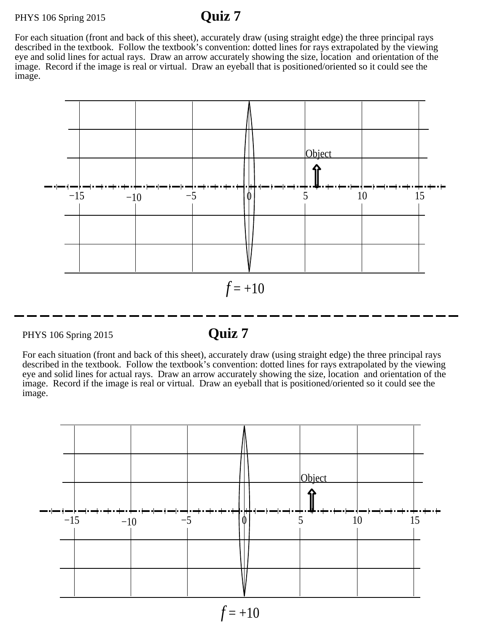## PHYS 106 Spring 2015 **Quiz 7**

For each situation (front and back of this sheet), accurately draw (using straight edge) the three principal rays described in the textbook. Follow the textbook's convention: dotted lines for rays extrapolated by the viewing eye and solid lines for actual rays. Draw an arrow accurately showing the size, location and orientation of the image. Record if the image is real or virtual. Draw an eyeball that is positioned/oriented so it could see the image.



PHYS 106 Spring 2015 **Quiz 7**

For each situation (front and back of this sheet), accurately draw (using straight edge) the three principal rays described in the textbook. Follow the textbook's convention: dotted lines for rays extrapolated by the viewing eye and solid lines for actual rays. Draw an arrow accurately showing the size, location and orientation of the image. Record if the image is real or virtual. Draw an eyeball that is positioned/oriented so it could see the image.



 $f = +10$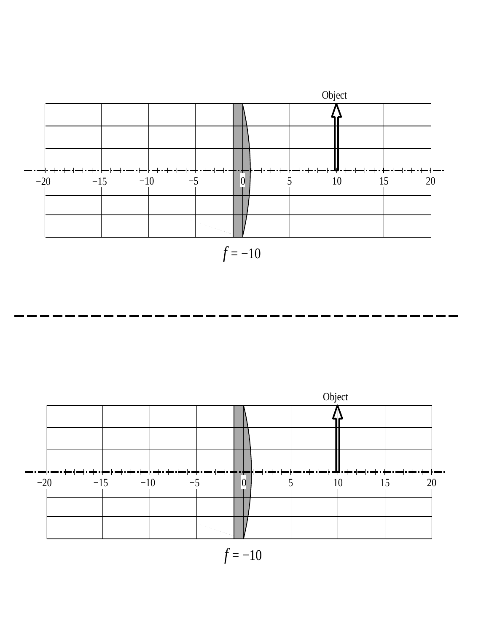

*f* = −10



 $f = -10$